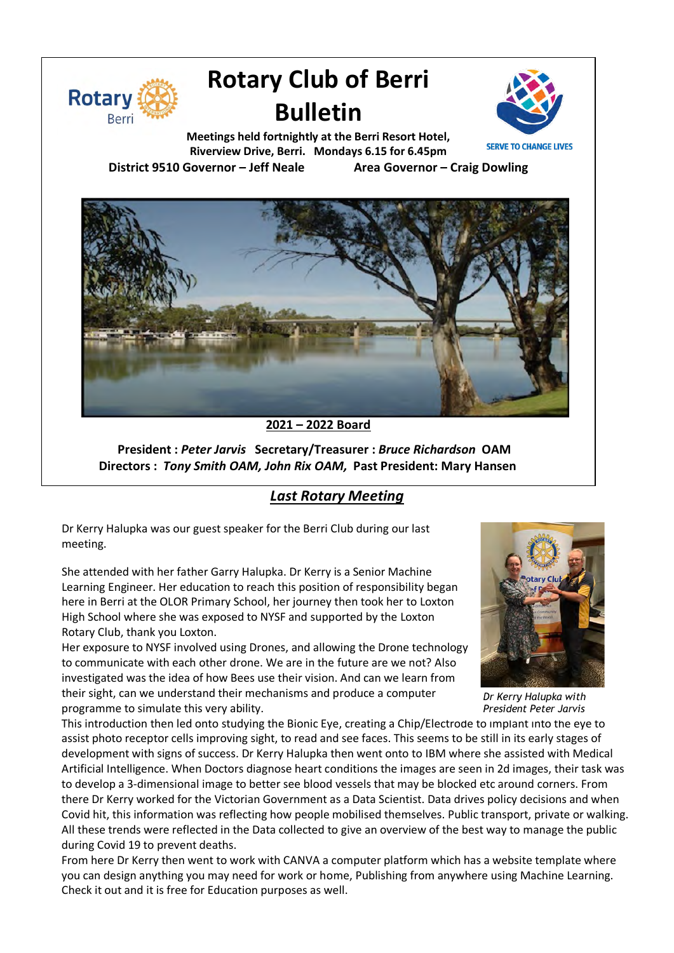

# **Rotary Club of Berri Bulletin**



**Meetings held fortnightly at the Berri Resort Hotel, Riverview Drive, Berri. Mondays 6.15 for 6.45pm**

**District 9510 Governor – Jeff Neale Area Governor – Craig Dowling**



**2021 – 2022 Board**

**President :** *Peter Jarvis* **Secretary/Treasurer :** *Bruce Richardson* **OAM Directors :** *Tony Smith OAM, John Rix OAM,* **Past President: Mary Hansen**

### *Last Rotary Meeting*

Dr Kerry Halupka was our guest speaker for the Berri Club during our last meeting.

She attended with her father Garry Halupka. Dr Kerry is a Senior Machine Learning Engineer. Her education to reach this position of responsibility began here in Berri at the OLOR Primary School, her journey then took her to Loxton High School where she was exposed to NYSF and supported by the Loxton Rotary Club, thank you Loxton.

Her exposure to NYSF involved using Drones, and allowing the Drone technology to communicate with each other drone. We are in the future are we not? Also investigated was the idea of how Bees use their vision. And can we learn from their sight, can we understand their mechanisms and produce a computer programme to simulate this very ability.



From here Dr Kerry then went to work with CANVA a computer platform which has a website template where you can design anything you may need for work or home, Publishing from anywhere using Machine Learning. Check it out and it is free for Education purposes as well.



*Dr Kerry Halupka with President Peter Jarvis*